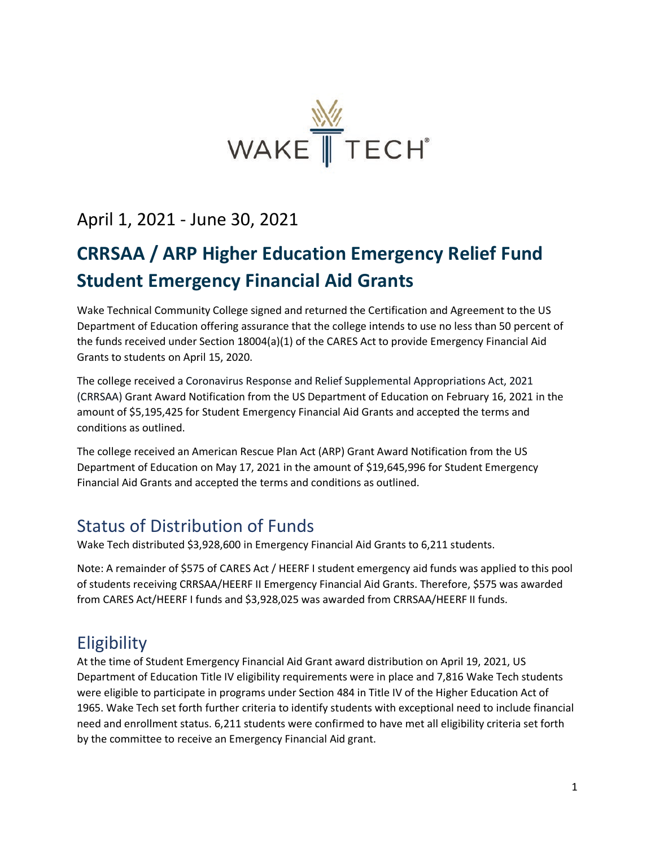

April 1, 2021 - June 30, 2021

# **CRRSAA / ARP Higher Education Emergency Relief Fund Student Emergency Financial Aid Grants**

Wake Technical Community College signed and returned the Certification and Agreement to the US Department of Education offering assurance that the college intends to use no less than 50 percent of the funds received under Section 18004(a)(1) of the CARES Act to provide Emergency Financial Aid Grants to students on April 15, 2020.

The college received a Coronavirus Response and Relief Supplemental Appropriations Act, 2021 (CRRSAA) Grant Award Notification from the US Department of Education on February 16, 2021 in the amount of \$5,195,425 for Student Emergency Financial Aid Grants and accepted the terms and conditions as outlined.

The college received an American Rescue Plan Act (ARP) Grant Award Notification from the US Department of Education on May 17, 2021 in the amount of \$19,645,996 for Student Emergency Financial Aid Grants and accepted the terms and conditions as outlined.

## Status of Distribution of Funds

Wake Tech distributed \$3,928,600 in Emergency Financial Aid Grants to 6,211 students.

Note: A remainder of \$575 of CARES Act / HEERF I student emergency aid funds was applied to this pool of students receiving CRRSAA/HEERF II Emergency Financial Aid Grants. Therefore, \$575 was awarded from CARES Act/HEERF I funds and \$3,928,025 was awarded from CRRSAA/HEERF II funds.

## **Eligibility**

At the time of Student Emergency Financial Aid Grant award distribution on April 19, 2021, US Department of Education Title IV eligibility requirements were in place and 7,816 Wake Tech students were eligible to participate in programs under Section 484 in Title IV of the Higher Education Act of 1965. Wake Tech set forth further criteria to identify students with exceptional need to include financial need and enrollment status. 6,211 students were confirmed to have met all eligibility criteria set forth by the committee to receive an Emergency Financial Aid grant.